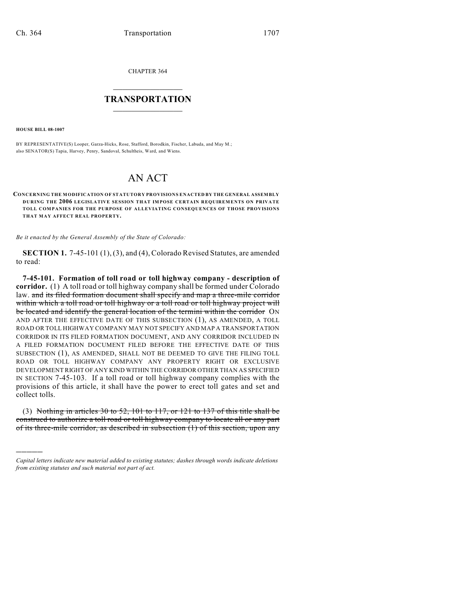CHAPTER 364

## $\overline{\phantom{a}}$  . The set of the set of the set of the set of the set of the set of the set of the set of the set of the set of the set of the set of the set of the set of the set of the set of the set of the set of the set o **TRANSPORTATION**  $\_$   $\_$   $\_$   $\_$   $\_$   $\_$   $\_$   $\_$   $\_$

**HOUSE BILL 08-1007**

)))))

BY REPRESENTATIVE(S) Looper, Garza-Hicks, Rose, Stafford, Borodkin, Fischer, Labuda, and May M.; also SENATOR(S) Tapia, Harvey, Penry, Sandoval, Schultheis, Ward, and Wiens.

## AN ACT

**CONCERNING THE M ODIFICATION OF STATUTORY PROVISIONS ENACTED BY THE GENERAL ASSEMBLY DURING THE 2006 LEGISLATIVE SESSION THAT IMPOSE CERTAIN REQUIREMENTS ON PRIVATE TOLL COMPANIES FOR THE PURPOSE OF ALLEVIATING CONSEQUENCES OF THOSE PROVISIONS THAT MAY AFFECT REAL PROPERTY.**

*Be it enacted by the General Assembly of the State of Colorado:*

**SECTION 1.** 7-45-101 (1), (3), and (4), Colorado Revised Statutes, are amended to read:

**7-45-101. Formation of toll road or toll highway company - description of corridor.** (1) A toll road or toll highway company shall be formed under Colorado law. and its filed formation document shall specify and map a three-mile corridor within which a toll road or toll highway or a toll road or toll highway project will be located and identify the general location of the termini within the corridor ON AND AFTER THE EFFECTIVE DATE OF THIS SUBSECTION (1), AS AMENDED, A TOLL ROAD OR TOLL HIGHWAY COMPANY MAY NOT SPECIFY AND MAP A TRANSPORTATION CORRIDOR IN ITS FILED FORMATION DOCUMENT, AND ANY CORRIDOR INCLUDED IN A FILED FORMATION DOCUMENT FILED BEFORE THE EFFECTIVE DATE OF THIS SUBSECTION (1), AS AMENDED, SHALL NOT BE DEEMED TO GIVE THE FILING TOLL ROAD OR TOLL HIGHWAY COMPANY ANY PROPERTY RIGHT OR EXCLUSIVE DEVELOPMENT RIGHT OF ANY KIND WITHIN THE CORRIDOR OTHER THAN AS SPECIFIED IN SECTION 7-45-103. If a toll road or toll highway company complies with the provisions of this article, it shall have the power to erect toll gates and set and collect tolls.

(3) Nothing in articles 30 to 52, 101 to 117, or 121 to 137 of this title shall be construed to authorize a toll road or toll highway company to locate all or any part of its three-mile corridor, as described in subsection (1) of this section, upon any

*Capital letters indicate new material added to existing statutes; dashes through words indicate deletions from existing statutes and such material not part of act.*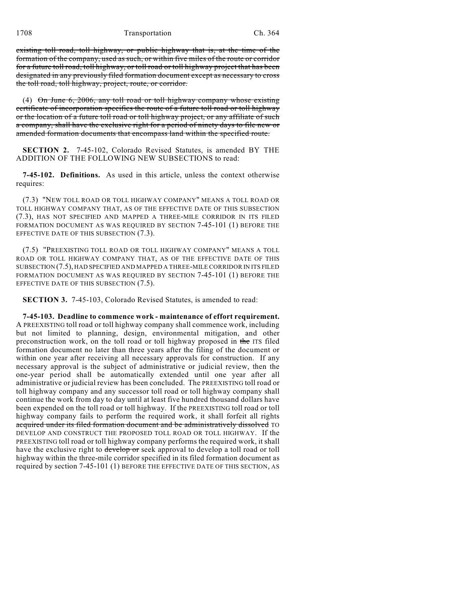existing toll road, toll highway, or public highway that is, at the time of the formation of the company, used as such, or within five miles of the route or corridor for a future toll road, toll highway, or toll road or toll highway project that has been designated in any previously filed formation document except as necessary to cross the toll road, toll highway, project, route, or corridor.

(4) On June 6, 2006, any toll road or toll highway company whose existing certificate of incorporation specifies the route of a future toll road or toll highway or the location of a future toll road or toll highway project, or any affiliate of such a company, shall have the exclusive right for a period of ninety days to file new or amended formation documents that encompass land within the specified route.

**SECTION 2.** 7-45-102, Colorado Revised Statutes, is amended BY THE ADDITION OF THE FOLLOWING NEW SUBSECTIONS to read:

**7-45-102. Definitions.** As used in this article, unless the context otherwise requires:

(7.3) "NEW TOLL ROAD OR TOLL HIGHWAY COMPANY" MEANS A TOLL ROAD OR TOLL HIGHWAY COMPANY THAT, AS OF THE EFFECTIVE DATE OF THIS SUBSECTION (7.3), HAS NOT SPECIFIED AND MAPPED A THREE-MILE CORRIDOR IN ITS FILED FORMATION DOCUMENT AS WAS REQUIRED BY SECTION 7-45-101 (1) BEFORE THE EFFECTIVE DATE OF THIS SUBSECTION  $(7.3)$ .

(7.5) "PREEXISTING TOLL ROAD OR TOLL HIGHWAY COMPANY" MEANS A TOLL ROAD OR TOLL HIGHWAY COMPANY THAT, AS OF THE EFFECTIVE DATE OF THIS SUBSECTION (7.5), HAD SPECIFIED AND MAPPED A THREE-MILE CORRIDOR IN ITS FILED FORMATION DOCUMENT AS WAS REQUIRED BY SECTION 7-45-101 (1) BEFORE THE EFFECTIVE DATE OF THIS SUBSECTION (7.5).

**SECTION 3.** 7-45-103, Colorado Revised Statutes, is amended to read:

**7-45-103. Deadline to commence work - maintenance of effort requirement.** A PREEXISTING toll road or toll highway company shall commence work, including but not limited to planning, design, environmental mitigation, and other preconstruction work, on the toll road or toll highway proposed in the ITS filed formation document no later than three years after the filing of the document or within one year after receiving all necessary approvals for construction. If any necessary approval is the subject of administrative or judicial review, then the one-year period shall be automatically extended until one year after all administrative or judicial review has been concluded. The PREEXISTING toll road or toll highway company and any successor toll road or toll highway company shall continue the work from day to day until at least five hundred thousand dollars have been expended on the toll road or toll highway. If the PREEXISTING toll road or toll highway company fails to perform the required work, it shall forfeit all rights acquired under its filed formation document and be administratively dissolved TO DEVELOP AND CONSTRUCT THE PROPOSED TOLL ROAD OR TOLL HIGHWAY. If the PREEXISTING toll road or toll highway company performs the required work, it shall have the exclusive right to develop or seek approval to develop a toll road or toll highway within the three-mile corridor specified in its filed formation document as required by section 7-45-101 (1) BEFORE THE EFFECTIVE DATE OF THIS SECTION, AS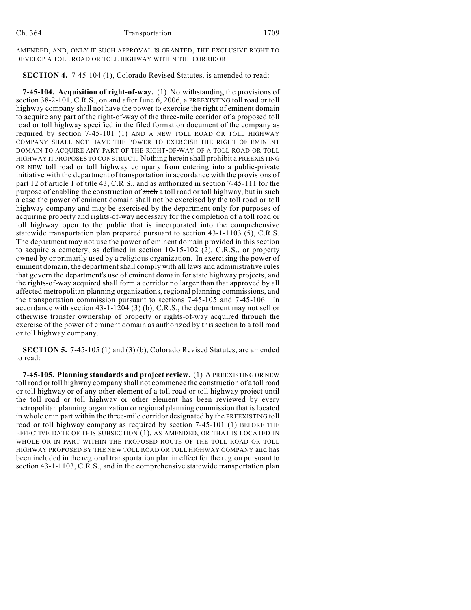AMENDED, AND, ONLY IF SUCH APPROVAL IS GRANTED, THE EXCLUSIVE RIGHT TO DEVELOP A TOLL ROAD OR TOLL HIGHWAY WITHIN THE CORRIDOR.

**SECTION 4.** 7-45-104 (1), Colorado Revised Statutes, is amended to read:

**7-45-104. Acquisition of right-of-way.** (1) Notwithstanding the provisions of section 38-2-101, C.R.S., on and after June 6, 2006, a PREEXISTING toll road or toll highway company shall not have the power to exercise the right of eminent domain to acquire any part of the right-of-way of the three-mile corridor of a proposed toll road or toll highway specified in the filed formation document of the company as required by section 7-45-101 (1) AND A NEW TOLL ROAD OR TOLL HIGHWAY COMPANY SHALL NOT HAVE THE POWER TO EXERCISE THE RIGHT OF EMINENT DOMAIN TO ACQUIRE ANY PART OF THE RIGHT-OF-WAY OF A TOLL ROAD OR TOLL HIGHWAY IT PROPOSES TO CONSTRUCT. Nothing herein shall prohibit a PREEXISTING OR NEW toll road or toll highway company from entering into a public-private initiative with the department of transportation in accordance with the provisions of part 12 of article 1 of title 43, C.R.S., and as authorized in section 7-45-111 for the purpose of enabling the construction of such a toll road or toll highway, but in such a case the power of eminent domain shall not be exercised by the toll road or toll highway company and may be exercised by the department only for purposes of acquiring property and rights-of-way necessary for the completion of a toll road or toll highway open to the public that is incorporated into the comprehensive statewide transportation plan prepared pursuant to section 43-1-1103 (5), C.R.S. The department may not use the power of eminent domain provided in this section to acquire a cemetery, as defined in section 10-15-102 (2), C.R.S., or property owned by or primarily used by a religious organization. In exercising the power of eminent domain, the department shall comply with all laws and administrative rules that govern the department's use of eminent domain for state highway projects, and the rights-of-way acquired shall form a corridor no larger than that approved by all affected metropolitan planning organizations, regional planning commissions, and the transportation commission pursuant to sections 7-45-105 and 7-45-106. In accordance with section 43-1-1204 (3) (b), C.R.S., the department may not sell or otherwise transfer ownership of property or rights-of-way acquired through the exercise of the power of eminent domain as authorized by this section to a toll road or toll highway company.

**SECTION 5.** 7-45-105 (1) and (3) (b), Colorado Revised Statutes, are amended to read:

**7-45-105. Planning standards and project review.** (1) A PREEXISTING OR NEW toll road or toll highway company shall not commence the construction of a toll road or toll highway or of any other element of a toll road or toll highway project until the toll road or toll highway or other element has been reviewed by every metropolitan planning organization or regional planning commission that is located in whole or in part within the three-mile corridor designated by the PREEXISTING toll road or toll highway company as required by section 7-45-101 (1) BEFORE THE EFFECTIVE DATE OF THIS SUBSECTION (1), AS AMENDED, OR THAT IS LOCATED IN WHOLE OR IN PART WITHIN THE PROPOSED ROUTE OF THE TOLL ROAD OR TOLL HIGHWAY PROPOSED BY THE NEW TOLL ROAD OR TOLL HIGHWAY COMPANY and has been included in the regional transportation plan in effect for the region pursuant to section 43-1-1103, C.R.S., and in the comprehensive statewide transportation plan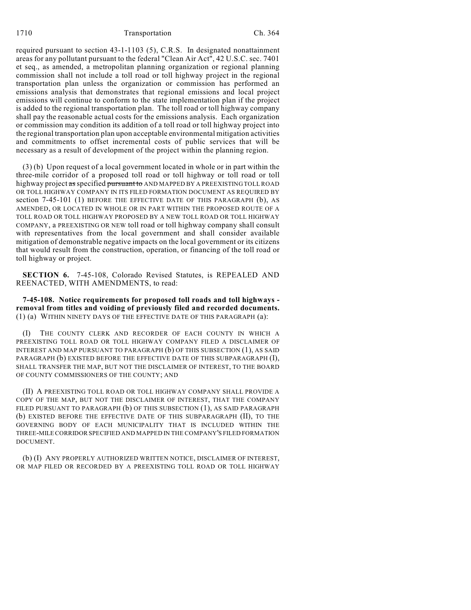required pursuant to section 43-1-1103 (5), C.R.S. In designated nonattainment areas for any pollutant pursuant to the federal "Clean Air Act", 42 U.S.C. sec. 7401 et seq., as amended, a metropolitan planning organization or regional planning commission shall not include a toll road or toll highway project in the regional transportation plan unless the organization or commission has performed an emissions analysis that demonstrates that regional emissions and local project emissions will continue to conform to the state implementation plan if the project is added to the regional transportation plan. The toll road or toll highway company shall pay the reasonable actual costs for the emissions analysis. Each organization or commission may condition its addition of a toll road or toll highway project into the regional transportation plan upon acceptable environmental mitigation activities and commitments to offset incremental costs of public services that will be necessary as a result of development of the project within the planning region.

(3) (b) Upon request of a local government located in whole or in part within the three-mile corridor of a proposed toll road or toll highway or toll road or toll highway project as specified pursuant to AND MAPPED BY A PREEXISTING TOLL ROAD OR TOLL HIGHWAY COMPANY IN ITS FILED FORMATION DOCUMENT AS REQUIRED BY section 7-45-101 (1) BEFORE THE EFFECTIVE DATE OF THIS PARAGRAPH (b), AS AMENDED, OR LOCATED IN WHOLE OR IN PART WITHIN THE PROPOSED ROUTE OF A TOLL ROAD OR TOLL HIGHWAY PROPOSED BY A NEW TOLL ROAD OR TOLL HIGHWAY COMPANY, a PREEXISTING OR NEW toll road or toll highway company shall consult with representatives from the local government and shall consider available mitigation of demonstrable negative impacts on the local government or its citizens that would result from the construction, operation, or financing of the toll road or toll highway or project.

**SECTION 6.** 7-45-108, Colorado Revised Statutes, is REPEALED AND REENACTED, WITH AMENDMENTS, to read:

**7-45-108. Notice requirements for proposed toll roads and toll highways removal from titles and voiding of previously filed and recorded documents.** (1) (a) WITHIN NINETY DAYS OF THE EFFECTIVE DATE OF THIS PARAGRAPH (a):

(I) THE COUNTY CLERK AND RECORDER OF EACH COUNTY IN WHICH A PREEXISTING TOLL ROAD OR TOLL HIGHWAY COMPANY FILED A DISCLAIMER OF INTEREST AND MAP PURSUANT TO PARAGRAPH (b) OF THIS SUBSECTION (1), AS SAID PARAGRAPH (b) EXISTED BEFORE THE EFFECTIVE DATE OF THIS SUBPARAGRAPH (I), SHALL TRANSFER THE MAP, BUT NOT THE DISCLAIMER OF INTEREST, TO THE BOARD OF COUNTY COMMISSIONERS OF THE COUNTY; AND

(II) A PREEXISTING TOLL ROAD OR TOLL HIGHWAY COMPANY SHALL PROVIDE A COPY OF THE MAP, BUT NOT THE DISCLAIMER OF INTEREST, THAT THE COMPANY FILED PURSUANT TO PARAGRAPH (b) OF THIS SUBSECTION (1), AS SAID PARAGRAPH (b) EXISTED BEFORE THE EFFECTIVE DATE OF THIS SUBPARAGRAPH (II), TO THE GOVERNING BODY OF EACH MUNICIPALITY THAT IS INCLUDED WITHIN THE THREE-MILE CORRIDOR SPECIFIED AND MAPPED IN THE COMPANY'S FILED FORMATION DOCUMENT.

(b) (I) ANY PROPERLY AUTHORIZED WRITTEN NOTICE, DISCLAIMER OF INTEREST, OR MAP FILED OR RECORDED BY A PREEXISTING TOLL ROAD OR TOLL HIGHWAY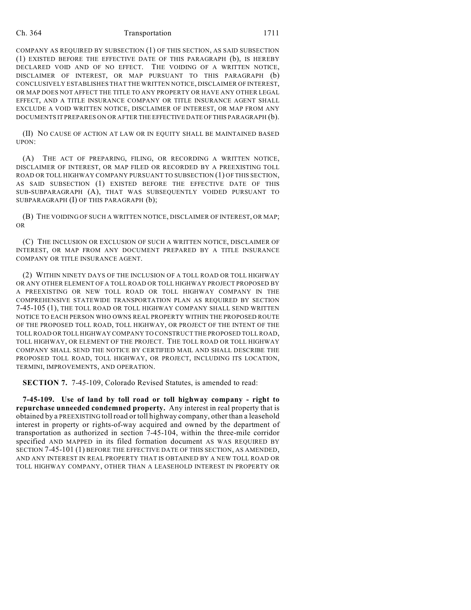## Ch. 364 Transportation 1711

COMPANY AS REQUIRED BY SUBSECTION (1) OF THIS SECTION, AS SAID SUBSECTION (1) EXISTED BEFORE THE EFFECTIVE DATE OF THIS PARAGRAPH (b), IS HEREBY DECLARED VOID AND OF NO EFFECT. THE VOIDING OF A WRITTEN NOTICE, DISCLAIMER OF INTEREST, OR MAP PURSUANT TO THIS PARAGRAPH (b) CONCLUSIVELY ESTABLISHES THAT THE WRITTEN NOTICE, DISCLAIMER OF INTEREST, OR MAP DOES NOT AFFECT THE TITLE TO ANY PROPERTY OR HAVE ANY OTHER LEGAL EFFECT, AND A TITLE INSURANCE COMPANY OR TITLE INSURANCE AGENT SHALL EXCLUDE A VOID WRITTEN NOTICE, DISCLAIMER OF INTEREST, OR MAP FROM ANY DOCUMENTS IT PREPARES ON OR AFTER THE EFFECTIVE DATE OF THIS PARAGRAPH (b).

(II) NO CAUSE OF ACTION AT LAW OR IN EQUITY SHALL BE MAINTAINED BASED UPON:

(A) THE ACT OF PREPARING, FILING, OR RECORDING A WRITTEN NOTICE, DISCLAIMER OF INTEREST, OR MAP FILED OR RECORDED BY A PREEXISTING TOLL ROAD OR TOLL HIGHWAY COMPANY PURSUANT TO SUBSECTION (1) OF THIS SECTION, AS SAID SUBSECTION (1) EXISTED BEFORE THE EFFECTIVE DATE OF THIS SUB-SUBPARAGRAPH (A), THAT WAS SUBSEQUENTLY VOIDED PURSUANT TO SUBPARAGRAPH (I) OF THIS PARAGRAPH (b);

(B) THE VOIDING OF SUCH A WRITTEN NOTICE, DISCLAIMER OF INTEREST, OR MAP; OR

(C) THE INCLUSION OR EXCLUSION OF SUCH A WRITTEN NOTICE, DISCLAIMER OF INTEREST, OR MAP FROM ANY DOCUMENT PREPARED BY A TITLE INSURANCE COMPANY OR TITLE INSURANCE AGENT.

(2) WITHIN NINETY DAYS OF THE INCLUSION OF A TOLL ROAD OR TOLL HIGHWAY OR ANY OTHER ELEMENT OF A TOLL ROAD OR TOLL HIGHWAY PROJECT PROPOSED BY A PREEXISTING OR NEW TOLL ROAD OR TOLL HIGHWAY COMPANY IN THE COMPREHENSIVE STATEWIDE TRANSPORTATION PLAN AS REQUIRED BY SECTION 7-45-105 (1), THE TOLL ROAD OR TOLL HIGHWAY COMPANY SHALL SEND WRITTEN NOTICE TO EACH PERSON WHO OWNS REAL PROPERTY WITHIN THE PROPOSED ROUTE OF THE PROPOSED TOLL ROAD, TOLL HIGHWAY, OR PROJECT OF THE INTENT OF THE TOLL ROAD OR TOLL HIGHWAY COMPANY TO CONSTRUCT THE PROPOSED TOLL ROAD, TOLL HIGHWAY, OR ELEMENT OF THE PROJECT. THE TOLL ROAD OR TOLL HIGHWAY COMPANY SHALL SEND THE NOTICE BY CERTIFIED MAIL AND SHALL DESCRIBE THE PROPOSED TOLL ROAD, TOLL HIGHWAY, OR PROJECT, INCLUDING ITS LOCATION, TERMINI, IMPROVEMENTS, AND OPERATION.

**SECTION 7.** 7-45-109, Colorado Revised Statutes, is amended to read:

**7-45-109. Use of land by toll road or toll highway company - right to repurchase unneeded condemned property.** Any interest in real property that is obtained by a PREEXISTING toll road or toll highway company, other than a leasehold interest in property or rights-of-way acquired and owned by the department of transportation as authorized in section 7-45-104, within the three-mile corridor specified AND MAPPED in its filed formation document AS WAS REQUIRED BY SECTION 7-45-101 (1) BEFORE THE EFFECTIVE DATE OF THIS SECTION, AS AMENDED, AND ANY INTEREST IN REAL PROPERTY THAT IS OBTAINED BY A NEW TOLL ROAD OR TOLL HIGHWAY COMPANY, OTHER THAN A LEASEHOLD INTEREST IN PROPERTY OR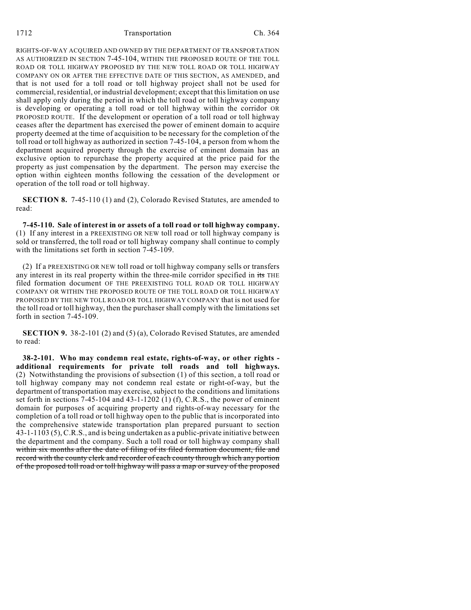RIGHTS-OF-WAY ACQUIRED AND OWNED BY THE DEPARTMENT OF TRANSPORTATION AS AUTHORIZED IN SECTION 7-45-104, WITHIN THE PROPOSED ROUTE OF THE TOLL ROAD OR TOLL HIGHWAY PROPOSED BY THE NEW TOLL ROAD OR TOLL HIGHWAY COMPANY ON OR AFTER THE EFFECTIVE DATE OF THIS SECTION, AS AMENDED, and that is not used for a toll road or toll highway project shall not be used for commercial, residential, or industrial development; except that this limitation on use shall apply only during the period in which the toll road or toll highway company is developing or operating a toll road or toll highway within the corridor OR PROPOSED ROUTE. If the development or operation of a toll road or toll highway ceases after the department has exercised the power of eminent domain to acquire property deemed at the time of acquisition to be necessary for the completion of the toll road or toll highway as authorized in section 7-45-104, a person from whom the department acquired property through the exercise of eminent domain has an exclusive option to repurchase the property acquired at the price paid for the property as just compensation by the department. The person may exercise the option within eighteen months following the cessation of the development or operation of the toll road or toll highway.

**SECTION 8.** 7-45-110 (1) and (2), Colorado Revised Statutes, are amended to read:

**7-45-110. Sale of interest in or assets of a toll road or toll highway company.** (1) If any interest in a PREEXISTING OR NEW toll road or toll highway company is sold or transferred, the toll road or toll highway company shall continue to comply with the limitations set forth in section 7-45-109.

(2) If a PREEXISTING OR NEW toll road or toll highway company sells or transfers any interest in its real property within the three-mile corridor specified in its THE filed formation document OF THE PREEXISTING TOLL ROAD OR TOLL HIGHWAY COMPANY OR WITHIN THE PROPOSED ROUTE OF THE TOLL ROAD OR TOLL HIGHWAY PROPOSED BY THE NEW TOLL ROAD OR TOLL HIGHWAY COMPANY that is not used for the toll road or toll highway, then the purchaser shall comply with the limitations set forth in section 7-45-109.

**SECTION 9.** 38-2-101 (2) and (5) (a), Colorado Revised Statutes, are amended to read:

**38-2-101. Who may condemn real estate, rights-of-way, or other rights additional requirements for private toll roads and toll highways.** (2) Notwithstanding the provisions of subsection (1) of this section, a toll road or toll highway company may not condemn real estate or right-of-way, but the department of transportation may exercise, subject to the conditions and limitations set forth in sections 7-45-104 and 43-1-1202 (1) (f), C.R.S., the power of eminent domain for purposes of acquiring property and rights-of-way necessary for the completion of a toll road or toll highway open to the public that is incorporated into the comprehensive statewide transportation plan prepared pursuant to section 43-1-1103 (5), C.R.S., and is being undertaken as a public-private initiative between the department and the company. Such a toll road or toll highway company shall within six months after the date of filing of its filed formation document, file and record with the county clerk and recorder of each county through which any portion of the proposed toll road or toll highway will pass a map or survey of the proposed